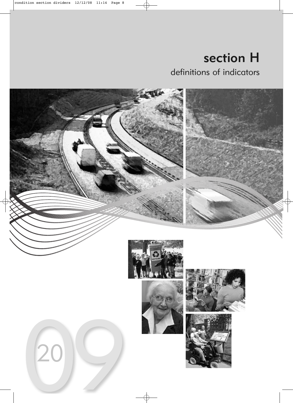section H definitions of indicators

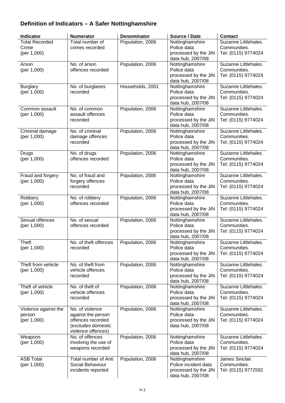### **Definition of Indicators – A Safer Nottinghamshire**

| Indicator             | <b>Numerator</b>                      | <b>Denominator</b> | Source / Date                             | <b>Contact</b>                      |
|-----------------------|---------------------------------------|--------------------|-------------------------------------------|-------------------------------------|
| <b>Total Recorded</b> | Total number of                       | Population, 2006   | Nottinghamshire                           | Suzanne Littlehales.                |
| Crime<br>(per 1,000)  | crimes recorded                       |                    | Police data<br>processed by the JiN       | Communities.<br>Tel: (0115) 9774024 |
|                       |                                       |                    | data hub, 2007/08                         |                                     |
| Arson                 | No. of arson                          | Population, 2006   | Nottinghamshire                           | Suzanne Littlehales.                |
| (per 1,000)           | offences recorded                     |                    | Police data                               | Communities.<br>Tel: (0115) 9774024 |
|                       |                                       |                    | processed by the JiN<br>data hub, 2007/08 |                                     |
| <b>Burglary</b>       | No. of burglaries                     | Households, 2001   | Nottinghamshire                           | Suzanne Littlehales.                |
| (per 1,000)           | recorded                              |                    | Police data                               | Communities.                        |
|                       |                                       |                    | processed by the JiN<br>data hub, 2007/08 | Tel: (0115) 9774024                 |
| Common assault        | No. of common                         | Population, 2006   | Nottinghamshire                           | Suzanne Littlehales.                |
| (per 1,000)           | assault offences                      |                    | Police data                               | Communities.                        |
|                       | recorded                              |                    | processed by the JiN<br>data hub, 2007/08 | Tel: (0115) 9774024                 |
| Criminal damage       | No. of criminal                       | Population, 2006   | Nottinghamshire                           | Suzanne Littlehales.                |
| (per 1,000)           | damage offences                       |                    | Police data                               | Communities.                        |
|                       | recorded                              |                    | processed by the JiN<br>data hub, 2007/08 | Tel: (0115) 9774024                 |
| <b>Drugs</b>          | No. of drugs                          | Population, 2006   | Nottinghamshire                           | Suzanne Littlehales.                |
| (per 1,000)           | offences recorded                     |                    | Police data                               | Communities.                        |
|                       |                                       |                    | processed by the JiN<br>data hub, 2007/08 | Tel: (0115) 9774024                 |
| Fraud and forgery     | No. of fraud and                      | Population, 2006   | Nottinghamshire                           | Suzanne Littlehales.                |
| (per 1,000)           | forgery offences                      |                    | Police data                               | Communities.                        |
|                       | recorded                              |                    | processed by the JiN                      | Tel: (0115) 9774024                 |
| Robbery               | No. of robbery                        | Population, 2006   | data hub, 2007/08<br>Nottinghamshire      | Suzanne Littlehales.                |
| (per 1,000)           | offences recorded                     |                    | Police data                               | Communities.                        |
|                       |                                       |                    | processed by the JiN                      | Tel: (0115) 9774024                 |
| Sexual offences       | No. of sexual                         | Population, 2006   | data hub, 2007/08<br>Nottinghamshire      | Suzanne Littlehales.                |
| (per 1,000)           | offences recorded                     |                    | Police data                               | Communities.                        |
|                       |                                       |                    | processed by the JiN                      | Tel: (0115) 9774024                 |
| Theft                 | No. of theft offences                 | Population, 2006   | data hub, 2007/08<br>Nottinghamshire      | Suzanne Littlehales.                |
| (per 1,000)           | recorded                              |                    | Police data                               | Communities.                        |
|                       |                                       |                    | processed by the JiN                      | Tel: (0115) 9774024                 |
| Theft from vehicle    | No. of theft from                     | Population, 2006   | data hub, 2007/08<br>Nottinghamshire      | Suzanne Littlehales.                |
| (per 1,000)           | vehicle offences                      |                    | Police data                               | Communities.                        |
|                       | recorded                              |                    | processed by the JiN                      | Tel: (0115) 9774024                 |
| Theft of vehicle      | No. of theft of                       | Population, 2006   | data hub, 2007/08<br>Nottinghamshire      | Suzanne Littlehales.                |
| (per 1,000)           | vehicle offences                      |                    | Police data                               | Communities.                        |
|                       | recorded                              |                    | processed by the JiN                      | Tel: (0115) 9774024                 |
| Violence against the  | No. of violence                       | Population, 2006   | data hub, 2007/08<br>Nottinghamshire      | Suzanne Littlehales.                |
| person                | against the person                    |                    | Police data                               | Communities.                        |
| (per 1,000)           | offences recorded                     |                    | processed by the JiN                      | Tel: (0115) 9774024                 |
|                       | (excludes domestic                    |                    | data hub, 2007/08                         |                                     |
| Weapons               | violence offences)<br>No. of offences | Population, 2006   | Nottinghamshire                           | Suzanne Littlehales.                |
| (per 1,000)           | involving the use of                  |                    | Police data                               | Communities.                        |
|                       | weapons recorded                      |                    | processed by the JiN                      | Tel: (0115) 9774024                 |
| <b>ASB Total</b>      | Total number of Anti                  | Population, 2006   | data hub, 2007/08<br>Nottinghamshire      | James Sinclair.                     |
| (per 1,000)           | Social Behaviour                      |                    | Police incident data                      | Communities.                        |
|                       | incidents reported                    |                    | processed by the JiN                      | Tel: (0115) 9772592                 |
|                       |                                       |                    | data hub, 2007/08                         |                                     |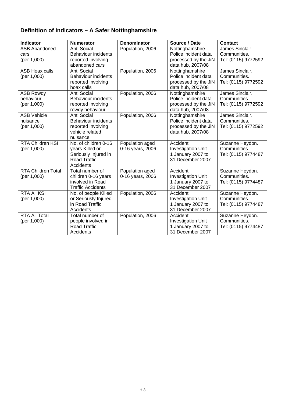## **Definition of Indicators – A Safer Nottinghamshire**

| <b>Indicator</b>                              | <b>Numerator</b>                                                                                    | <b>Denominator</b>                  | Source / Date                                                                        | <b>Contact</b>                                         |
|-----------------------------------------------|-----------------------------------------------------------------------------------------------------|-------------------------------------|--------------------------------------------------------------------------------------|--------------------------------------------------------|
| <b>ASB Abandoned</b><br>cars                  | Anti Social<br><b>Behaviour incidents</b>                                                           | Population, 2006                    | Nottinghamshire<br>Police incident data                                              | James Sinclair.<br>Communities.                        |
| (per 1,000)                                   | reported involving                                                                                  |                                     | processed by the JiN                                                                 | Tel: (0115) 9772592                                    |
|                                               | abandoned cars                                                                                      |                                     | data hub, 2007/08                                                                    |                                                        |
| <b>ASB Hoax calls</b><br>(per 1,000)          | Anti Social<br>Behaviour incidents<br>reported involving<br>hoax calls                              | Population, 2006                    | Nottinghamshire<br>Police incident data<br>processed by the JiN<br>data hub, 2007/08 | James Sinclair.<br>Communities.<br>Tel: (0115) 9772592 |
| <b>ASB Rowdy</b><br>behaviour<br>(per 1,000)  | Anti Social<br><b>Behaviour incidents</b><br>reported involving<br>rowdy behaviour                  | Population, 2006                    | Nottinghamshire<br>Police incident data<br>processed by the JiN<br>data hub, 2007/08 | James Sinclair.<br>Communities.<br>Tel: (0115) 9772592 |
| <b>ASB Vehicle</b><br>nuisance<br>(per 1,000) | Anti Social<br><b>Behaviour incidents</b><br>reported involving<br>vehicle related<br>nuisance      | Population, 2006                    | Nottinghamshire<br>Police incident data<br>processed by the JiN<br>data hub, 2007/08 | James Sinclair.<br>Communities.<br>Tel: (0115) 9772592 |
| <b>RTA Children KSI</b><br>(per 1,000)        | No. of children 0-16<br>years Killed or<br>Seriously Injured in<br><b>Road Traffic</b><br>Accidents | Population aged<br>0-16 years, 2006 | Accident<br><b>Investigation Unit</b><br>1 January 2007 to<br>31 December 2007       | Suzanne Heydon.<br>Communities.<br>Tel: (0115) 9774487 |
| <b>RTA Children Total</b><br>(per 1,000)      | Total number of<br>children 0-16 years<br>involved in Road<br><b>Traffic Accidents</b>              | Population aged<br>0-16 years, 2006 | Accident<br><b>Investigation Unit</b><br>1 January 2007 to<br>31 December 2007       | Suzanne Heydon.<br>Communities.<br>Tel: (0115) 9774487 |
| <b>RTA All KSI</b><br>(per 1,000)             | No. of people Killed<br>or Seriously Injured<br>in Road Traffic<br>Accidents                        | Population, 2006                    | Accident<br><b>Investigation Unit</b><br>1 January 2007 to<br>31 December 2007       | Suzanne Heydon.<br>Communities.<br>Tel: (0115) 9774487 |
| <b>RTA All Total</b><br>(per 1,000)           | Total number of<br>people involved in<br><b>Road Traffic</b><br>Accidents                           | Population, 2006                    | Accident<br><b>Investigation Unit</b><br>1 January 2007 to<br>31 December 2007       | Suzanne Heydon.<br>Communities.<br>Tel: (0115) 9774487 |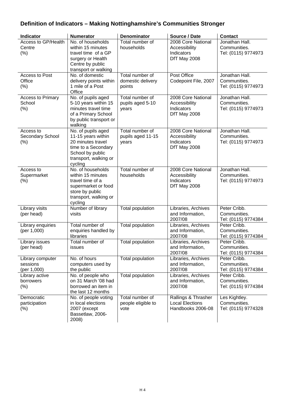### **Definition of Indicators – Making Nottinghamshire's Communities Stronger**

| <b>Indicator</b>                            | <b>Numerator</b>                                                                                                                             | <b>Denominator</b>                             | Source / Date                                                      | <b>Contact</b>                                        |
|---------------------------------------------|----------------------------------------------------------------------------------------------------------------------------------------------|------------------------------------------------|--------------------------------------------------------------------|-------------------------------------------------------|
| Access to GP/Health<br>Centre<br>(% )       | No. of households<br>within 15 minutes<br>travel time of a GP<br>surgery or Health<br>Centre by public<br>transport or walking               | Total number of<br>households                  | 2008 Core National<br>Accessibility<br>Indicators<br>DfT May 2008  | Jonathan Hall.<br>Communities.<br>Tel: (0115) 9774973 |
| Access to Post<br>Office<br>(% )            | No. of domestic<br>delivery points within<br>1 mile of a Post<br>Office                                                                      | Total number of<br>domestic delivery<br>points | Post Office<br>Codepoint File, 2007                                | Jonathan Hall.<br>Communities.<br>Tel: (0115) 9774973 |
| <b>Access to Primary</b><br>School<br>(% )  | No. of pupils aged<br>5-10 years within 15<br>minutes travel time<br>of a Primary School<br>by public transport or<br>walking                | Total number of<br>pupils aged 5-10<br>years   | 2008 Core National<br>Accessibility<br>Indicators<br>DfT May 2008  | Jonathan Hall.<br>Communities.<br>Tel: (0115) 9774973 |
| Access to<br>Secondary School<br>$(\%)$     | No. of pupils aged<br>11-15 years within<br>20 minutes travel<br>time to a Secondary<br>School by public<br>transport, walking or<br>cycling | Total number of<br>pupils aged 11-15<br>years  | 2008 Core National<br>Accessibility<br>Indicators<br>DfT May 2008  | Jonathan Hall.<br>Communities.<br>Tel: (0115) 9774973 |
| Access to<br>Supermarket<br>(% )            | No. of households<br>within 15 minutes<br>travel time of a<br>supermarket or food<br>store by public<br>transport, walking or<br>cycling     | Total number of<br>households                  | 2008 Core National<br>Accessibility<br>Indicators<br>DfT May 2008  | Jonathan Hall.<br>Communities.<br>Tel: (0115) 9774973 |
| Library visits<br>(per head)                | Number of library<br>visits                                                                                                                  | <b>Total population</b>                        | Libraries, Archives<br>and Information,<br>2007/08                 | Peter Cribb.<br>Communities.<br>Tel: (0115) 9774384   |
| Library enquiries<br>(per 1,000)            | Total number of<br>enquiries handled by<br>libraries                                                                                         | <b>Total population</b>                        | Libraries, Archives<br>and Information,<br>2007/08                 | Peter Cribb.<br>Communities.<br>Tel: (0115) 9774384   |
| Library issues<br>(per head)                | Total number of<br>issues                                                                                                                    | Total population                               | Libraries, Archives<br>and Information,<br>2007/08                 | Peter Cribb.<br>Communities.<br>Tel: (0115) 9774384   |
| Library computer<br>sessions<br>(per 1,000) | No. of hours<br>computers used by<br>the public                                                                                              | Total population                               | Libraries, Archives<br>and Information,<br>2007/08                 | Peter Cribb.<br>Communities.<br>Tel: (0115) 9774384   |
| Library active<br>borrowers<br>$(\% )$      | No. of people who<br>on 31 March '08 had<br>borrowed an item in<br>the last 12 months                                                        | Total population                               | Libraries, Archives<br>and Information,<br>2007/08                 | Peter Cribb.<br>Communities.<br>Tel: (0115) 9774384   |
| Democratic<br>participation<br>$(\% )$      | No. of people voting<br>in local elections<br>2007 (except<br>Bassetlaw, 2006-<br>2008)                                                      | Total number of<br>people eligible to<br>vote  | Rallings & Thrasher<br><b>Local Elections</b><br>Handbooks 2006-08 | Les Kightley.<br>Communities.<br>Tel: (0115) 9774328  |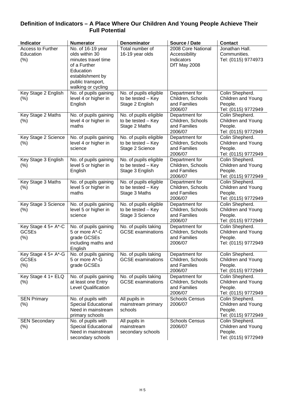#### **Definition of Indicators – A Place Where Our Children And Young People Achieve Their**  *Full Potential*

| Indicator                                      | <b>Numerator</b>                                                                                                                                       | <b>Denominator</b>                                              | Source / Date                                                     | <b>Contact</b>                                                          |
|------------------------------------------------|--------------------------------------------------------------------------------------------------------------------------------------------------------|-----------------------------------------------------------------|-------------------------------------------------------------------|-------------------------------------------------------------------------|
| Access to Further<br>Education<br>$(\% )$      | No. of 16-19 year<br>olds within 30<br>minutes travel time<br>of a Further<br>Education<br>establishment by<br>public transport,<br>walking or cycling | Total number of<br>16-19 year olds                              | 2008 Core National<br>Accessibility<br>Indicators<br>DfT May 2008 | Jonathan Hall.<br>Communities.<br>Tel: (0115) 9774973                   |
| Key Stage 2 English<br>$(\% )$                 | No. of pupils gaining<br>level 4 or higher in<br>English                                                                                               | No. of pupils eligible<br>to be tested - Key<br>Stage 2 English | Department for<br>Children, Schools<br>and Families<br>2006/07    | Colin Shepherd.<br>Children and Young<br>People.<br>Tel: (0115) 9772949 |
| Key Stage 2 Maths<br>(% )                      | No. of pupils gaining<br>level 4 or higher in<br>maths                                                                                                 | No. of pupils eligible<br>to be tested - Key<br>Stage 2 Maths   | Department for<br>Children, Schools<br>and Families<br>2006/07    | Colin Shepherd.<br>Children and Young<br>People.<br>Tel: (0115) 9772949 |
| Key Stage 2 Science<br>$(\% )$                 | No. of pupils gaining<br>level 4 or higher in<br>science                                                                                               | No. of pupils eligible<br>to be tested - Key<br>Stage 2 Science | Department for<br>Children, Schools<br>and Families<br>2006/07    | Colin Shepherd.<br>Children and Young<br>People.<br>Tel: (0115) 9772949 |
| Key Stage 3 English<br>$(\% )$                 | No. of pupils gaining<br>level 5 or higher in<br>English                                                                                               | No. of pupils eligible<br>to be tested - Key<br>Stage 3 English | Department for<br>Children, Schools<br>and Families<br>2006/07    | Colin Shepherd.<br>Children and Young<br>People.<br>Tel: (0115) 9772949 |
| Key Stage 3 Maths<br>$(\% )$                   | No. of pupils gaining<br>level 5 or higher in<br>maths                                                                                                 | No. of pupils eligible<br>to be tested - Key<br>Stage 3 Maths   | Department for<br>Children, Schools<br>and Families<br>2006/07    | Colin Shepherd.<br>Children and Young<br>People.<br>Tel: (0115) 9772949 |
| Key Stage 3 Science<br>$(\%)$                  | No. of pupils gaining<br>level 5 or higher in<br>science                                                                                               | No. of pupils eligible<br>to be tested - Key<br>Stage 3 Science | Department for<br>Children, Schools<br>and Families<br>2006/07    | Colin Shepherd.<br>Children and Young<br>People.<br>Tel: (0115) 9772949 |
| Key Stage 4 5+ A*-C<br><b>GCSEs</b><br>(% )    | No. of pupils gaining<br>5 or more A*-C<br>grade GCSEs<br>including maths and<br>English                                                               | No. of pupils taking<br><b>GCSE</b> examinations                | Department for<br>Children, Schools<br>and Families<br>2006/07    | Colin Shepherd.<br>Children and Young<br>People.<br>Tel: (0115) 9772949 |
| Key Stage 4 5+ A*-G<br><b>GCSEs</b><br>$(\% )$ | No. of pupils gaining<br>5 or more A*-G<br>grade GCSEs                                                                                                 | No. of pupils taking<br><b>GCSE</b> examinations                | Department for<br>Children, Schools<br>and Families<br>2006/07    | Colin Shepherd.<br>Children and Young<br>People.<br>Tel: (0115) 9772949 |
| Key Stage 4 1+ ELQ<br>$(\% )$                  | No. of pupils gaining<br>at least one Entry<br><b>Level Qualification</b>                                                                              | No. of pupils taking<br><b>GCSE</b> examinations                | Department for<br>Children, Schools<br>and Families<br>2006/07    | Colin Shepherd.<br>Children and Young<br>People.<br>Tel: (0115) 9772949 |
| <b>SEN Primary</b><br>$(\% )$                  | No. of pupils with<br><b>Special Educational</b><br>Need in mainstream<br>primary schools                                                              | All pupils in<br>mainstream primary<br>schools                  | <b>Schools Census</b><br>2006/07                                  | Colin Shepherd.<br>Children and Young<br>People.<br>Tel: (0115) 9772949 |
| <b>SEN Secondary</b><br>$(\% )$                | No. of pupils with<br><b>Special Educational</b><br>Need in mainstream<br>secondary schools                                                            | All pupils in<br>mainstream<br>secondary schools                | <b>Schools Census</b><br>2006/07                                  | Colin Shepherd.<br>Children and Young<br>People.<br>Tel: (0115) 9772949 |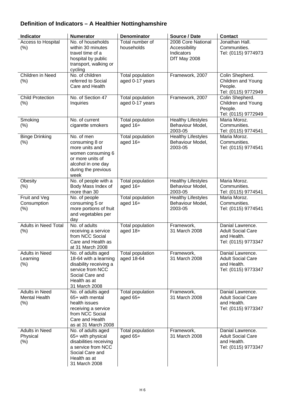### **Definition of Indicators – A Healthier Nottinghamshire**

| <b>Indicator</b>                                      | <b>Numerator</b>                                                                                                                              | <b>Denominator</b>                  | Source / Date                                                     | <b>Contact</b>                                                                     |
|-------------------------------------------------------|-----------------------------------------------------------------------------------------------------------------------------------------------|-------------------------------------|-------------------------------------------------------------------|------------------------------------------------------------------------------------|
| Access to Hospital<br>$(\% )$                         | No. of households<br>within 30 minutes<br>travel time of a<br>hospital by public<br>transport, walking or<br>cycling                          | Total number of<br>households       | 2008 Core National<br>Accessibility<br>Indicators<br>DfT May 2008 | Jonathan Hall.<br>Communities.<br>Tel: (0115) 9774973                              |
| Children in Need<br>(% )                              | No. of children<br>referred to Social<br>Care and Health                                                                                      | Total population<br>aged 0-17 years | Framework, 2007                                                   | Colin Shepherd.<br>Children and Young<br>People.<br>Tel: (0115) 9772949            |
| <b>Child Protection</b><br>(% )                       | No. of Section 47<br>Inquiries                                                                                                                | Total population<br>aged 0-17 years | Framework, 2007                                                   | Colin Shepherd.<br>Children and Young<br>People.<br>Tel: (0115) 9772949            |
| Smoking<br>(%)                                        | No. of current<br>cigarette smokers                                                                                                           | Total population<br>aged 16+        | <b>Healthy Lifestyles</b><br>Behaviour Model,<br>2003-05          | Maria Moroz.<br>Communities.<br>Tel: (0115) 9774541                                |
| <b>Binge Drinking</b><br>(%)                          | No. of men<br>consuming 8 or<br>more units and<br>women consuming 6<br>or more units of<br>alcohol in one day<br>during the previous<br>week  | Total population<br>aged 16+        | <b>Healthy Lifestyles</b><br>Behaviour Model,<br>2003-05          | Maria Moroz.<br>Communities.<br>Tel: (0115) 9774541                                |
| Obesity<br>(%)                                        | No. of people with a<br>Body Mass Index of<br>more than 30                                                                                    | <b>Total population</b><br>aged 16+ | <b>Healthy Lifestyles</b><br>Behaviour Model,<br>2003-05          | Maria Moroz.<br>Communities.<br>Tel: (0115) 9774541                                |
| Fruit and Veg<br>Consumption<br>(%)                   | $\overline{No}$ . of people<br>consuming 5 or<br>more portions of fruit<br>and vegetables per<br>day                                          | <b>Total population</b><br>aged 16+ | <b>Healthy Lifestyles</b><br>Behaviour Model,<br>2003-05          | Maria Moroz.<br>Communities.<br>Tel: (0115) 9774541                                |
| <b>Adults in Need Total</b><br>(% )                   | No. of adults<br>receiving a service<br>from NCC Social<br>Care and Health as<br>at 31 March 2008                                             | <b>Total population</b><br>aged 18+ | Framework,<br>31 March 2008                                       | Danial Lawrence.<br><b>Adult Social Care</b><br>and Health.<br>Tel: (0115) 9773347 |
| <b>Adults in Need</b><br>Learning<br>$(\% )$          | No. of adults aged<br>18-64 with a learning<br>disability receiving a<br>service from NCC<br>Social Care and<br>Health as at<br>31 March 2008 | Total population<br>aged 18-64      | Framework,<br>31 March 2008                                       | Danial Lawrence.<br><b>Adult Social Care</b><br>and Health.<br>Tel: (0115) 9773347 |
| <b>Adults in Need</b><br><b>Mental Health</b><br>(% ) | No. of adults aged<br>65+ with mental<br>health issues<br>receiving a service<br>from NCC Social<br>Care and Health<br>as at 31 March 2008    | Total population<br>aged 65+        | Framework,<br>31 March 2008                                       | Danial Lawrence.<br><b>Adult Social Care</b><br>and Health.<br>Tel: (0115) 9773347 |
| <b>Adults in Need</b><br>Physical<br>$(\% )$          | No. of adults aged<br>65+ with physical<br>disabilities receiving<br>a service from NCC<br>Social Care and<br>Health as at<br>31 March 2008   | Total population<br>aged 65+        | Framework,<br>31 March 2008                                       | Danial Lawrence.<br><b>Adult Social Care</b><br>and Health.<br>Tel: (0115) 9773347 |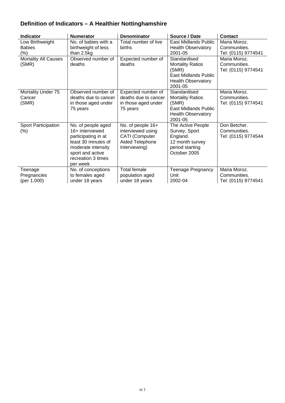### **Definition of Indicators – A Healthier Nottinghamshire**

| Indicator                                | <b>Numerator</b>                                                                                                                                                | <b>Denominator</b>                                                                                  | Source / Date                                                                                                           | <b>Contact</b>                                      |
|------------------------------------------|-----------------------------------------------------------------------------------------------------------------------------------------------------------------|-----------------------------------------------------------------------------------------------------|-------------------------------------------------------------------------------------------------------------------------|-----------------------------------------------------|
| Low Birthweight<br><b>Babies</b><br>(% ) | No. of babies with a<br>birthweight of less<br>than 2.5kg                                                                                                       | Total number of live<br>births                                                                      | East Midlands Public<br><b>Health Observatory</b><br>2001-05                                                            | Maria Moroz.<br>Communities.<br>Tel: (0115) 9774541 |
| <b>Mortality All Causes</b><br>(SMR)     | Observed number of<br>deaths                                                                                                                                    | Expected number of<br>deaths                                                                        | Standardised<br><b>Mortality Ratios</b><br>(SMR)<br><b>East Midlands Public</b><br><b>Health Observatory</b><br>2001-05 | Maria Moroz.<br>Communities.<br>Tel: (0115) 9774541 |
| Mortality Under 75<br>Cancer<br>(SMR)    | Observed number of<br>deaths due to cancer<br>in those aged under<br>75 years                                                                                   | Expected number of<br>deaths due to cancer<br>in those aged under<br>75 years                       | Standardised<br><b>Mortality Ratios</b><br>(SMR)<br>East Midlands Public<br><b>Health Observatory</b><br>2001-05        | Maria Moroz.<br>Communities.<br>Tel: (0115) 9774541 |
| <b>Sport Participation</b><br>$(\%)$     | No. of people aged<br>16+ interviewed<br>participating in at<br>least 30 minutes of<br>moderate intensity<br>sport and active<br>recreation 3 times<br>per week | No. of people 16+<br>interviewed using<br><b>CATI</b> (Computer<br>Aided Telephone<br>Interviewing) | The Active People<br>Survey, Sport<br>England.<br>12 month survey<br>period starting<br>October 2005                    | Don Betcher.<br>Communities.<br>Tel: (0115) 9774544 |
| Teenage<br>Pregnancies<br>(per 1,000)    | No. of conceptions<br>to females aged<br>under 18 years                                                                                                         | <b>Total female</b><br>population aged<br>under 18 years                                            | <b>Teenage Pregnancy</b><br>Unit<br>2002-04                                                                             | Maria Moroz.<br>Communities.<br>Tel: (0115) 9774541 |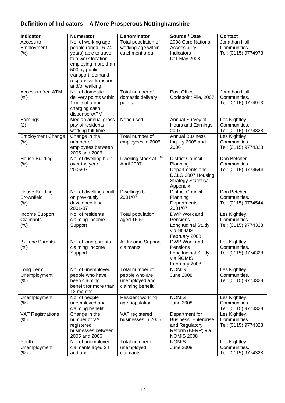### **Definition of Indicators – A More Prosperous Nottinghamshire**

| Indicator                                          | <b>Numerator</b>                                                                                                                                                                                | <b>Denominator</b>                                                      | Source / Date                                                                                                          | <b>Contact</b>                                        |
|----------------------------------------------------|-------------------------------------------------------------------------------------------------------------------------------------------------------------------------------------------------|-------------------------------------------------------------------------|------------------------------------------------------------------------------------------------------------------------|-------------------------------------------------------|
| Access to<br>Employment<br>$(\% )$                 | No. of working age<br>people (aged 16-74<br>years) able to travel<br>to a work location<br>employing more than<br>500 by public<br>transport, demand<br>responsive transport<br>and/or walking. | Total population of<br>working age within<br>catchment area             | 2008 Core National<br>Accessibility<br>Indicators<br>DfT May 2008                                                      | Jonathan Hall.<br>Communities.<br>Tel: (0115) 9774973 |
| Access to free ATM<br>$(\% )$                      | No. of domestic<br>delivery points within<br>1 mile of a non-<br>charging cash<br>dispenser/ATM                                                                                                 | Total number of<br>domestic delivery<br>points                          | Post Office<br>Codepoint File, 2007                                                                                    | Jonathan Hall.<br>Communities.<br>Tel: (0115) 9774973 |
| Earnings<br>(E)                                    | Median annual gross<br>pay of residents<br>working full-time                                                                                                                                    | None used                                                               | Annual Survey of<br>Hours and Earnings,<br>2007                                                                        | Les Kightley.<br>Communities.<br>Tel: (0115) 9774328  |
| <b>Employment Change</b><br>(%)                    | Change in the<br>number of<br>employees between<br>2005 and 2006                                                                                                                                | Total number of<br>employees in 2005                                    | <b>Annual Business</b><br>Inquiry 2005 and<br>2006                                                                     | Les Kightley.<br>Communities.<br>Tel: (0115) 9774328  |
| <b>House Building</b><br>(% )                      | No. of dwelling built<br>over the year<br>2006/07                                                                                                                                               | Dwelling stock at 1 <sup>st</sup><br>April 2007                         | <b>District Council</b><br>Planning<br>Departments and<br>DCLG 2007 Housing<br><b>Strategy Statistical</b><br>Appendix | Don Betcher.<br>Communities.<br>Tel: (0115) 9774544   |
| <b>House Building</b><br><b>Brownfield</b><br>(% ) | No. of dwellings built<br>on previously<br>developed land<br>2001-07                                                                                                                            | Dwellings built<br>2001/07                                              | <b>District Council</b><br>Planning<br>Departments,<br>2001/07                                                         | Don Betcher.<br>Communities.<br>Tel: (0115) 9774544   |
| Income Support<br>Claimants<br>$(\% )$             | No. of residents<br>claiming Income<br>Support                                                                                                                                                  | <b>Total population</b><br>aged 16-59                                   | DWP Work and<br>Pensions<br>Longitudinal Study<br>via NOMIS,<br>February 2008                                          | Les Kightley.<br>Communities.<br>Tel: (0115) 9774328  |
| <b>IS Lone Parents</b><br>$(\% )$                  | No. of lone parents<br>claiming Income<br>Support                                                                                                                                               | All Income Support<br>claimants                                         | DWP Work and<br>Pensions<br>Longitudinal Study<br>via NOMIS,<br>February 2008                                          | Les Kightley.<br>Communities.<br>Tel: (0115) 9774328  |
| Long Term<br>Unemployment<br>$(\% )$               | No. of unemployed<br>people who have<br>been claiming<br>benefit for more than<br>12 months                                                                                                     | Total number of<br>people who are<br>unemployed and<br>claiming benefit | <b>NOMIS</b><br><b>June 2008</b>                                                                                       | Les Kightley.<br>Communities.<br>Tel: (0115) 9774328  |
| Unemployment<br>$(\% )$                            | No. of people<br>unemployed and<br>claiming benefit                                                                                                                                             | Resident working<br>age population                                      | <b>NOMIS</b><br><b>June 2008</b>                                                                                       | Les Kightley.<br>Communities.<br>Tel: (0115) 9774328  |
| <b>VAT Registrations</b><br>$(\%)$                 | Change in the<br>number of VAT<br>registered<br>businesses between<br>2005 and 2006                                                                                                             | VAT registered<br>businesses in 2005                                    | Department for<br>Business, Enterprise<br>and Regulatory<br>Reform (BERR) via<br><b>NOMIS 2008</b>                     | Les Kightley.<br>Communities.<br>Tel: (0115) 9774328  |
| Youth<br>Unemployment<br>$(\%)$                    | No. of unemployed<br>claimants aged 24<br>and under                                                                                                                                             | Total number of<br>unemployed<br>claimants                              | <b>NOMIS</b><br><b>June 2008</b>                                                                                       | Les Kightley.<br>Communities.<br>Tel: (0115) 9774328  |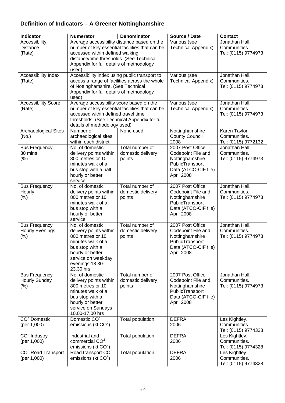### **Definition of Indicators – A Greener Nottinghamshire**

| <b>Indicator</b>                                         | <b>Numerator</b>                                                                                                                                                                | <b>Denominator</b>                             | Source / Date                                                                                                      | <b>Contact</b>                                        |
|----------------------------------------------------------|---------------------------------------------------------------------------------------------------------------------------------------------------------------------------------|------------------------------------------------|--------------------------------------------------------------------------------------------------------------------|-------------------------------------------------------|
| Accessibility<br><b>Distance</b><br>(Rate)               | Average accessibility distance based on the<br>accessed within defined walking<br>distance/time thresholds. (See Technical<br>Appendix for full details of methodology<br>used) | number of key essential facilities that can be | Various (see<br><b>Technical Appendix)</b>                                                                         | Jonathan Hall.<br>Communities.<br>Tel: (0115) 9774973 |
| Accessibility Index<br>(Rate)                            | Accessibility index using public transport to<br>of Nottinghamshire. (See Technical<br>Appendix for full details of methodology<br>used)                                        | access a range of facilities across the whole  | Various (see<br><b>Technical Appendix)</b>                                                                         | Jonathan Hall.<br>Communities.<br>Tel: (0115) 9774973 |
| <b>Accessibility Score</b><br>(Rate)                     | Average accessibility score based on the<br>accessed within defined travel time<br>thresholds. (See Technical Appendix for full<br>details of methodology used)                 | number of key essential facilities that can be | Various (see<br><b>Technical Appendix)</b>                                                                         | Jonathan Hall.<br>Communities.<br>Tel: (0115) 9774973 |
| Archaeological Sites<br>(No.)                            | Number of<br>archaeological sites<br>within each district                                                                                                                       | None used                                      | Nottinghamshire<br><b>County Council</b><br>2008                                                                   | Karen Taylor.<br>Communities.<br>Tel: (0115) 9772132  |
| <b>Bus Frequency</b><br>30 mins<br>(% )                  | No. of domestic<br>delivery points within<br>800 metres or 10<br>minutes walk of a<br>bus stop with a half<br>hourly or better<br>service                                       | Total number of<br>domestic delivery<br>points | 2007 Post Office<br>Codepoint File and<br>Nottinghamshire<br>PublicTransport<br>Data (ATCO-CIF file)<br>April 2008 | Jonathan Hall.<br>Communities.<br>Tel: (0115) 9774973 |
| <b>Bus Frequency</b><br>Hourly<br>$(\%)$                 | No. of domestic<br>delivery points within<br>800 metres or 10<br>minutes walk of a<br>bus stop with a<br>hourly or better<br>service                                            | Total number of<br>domestic delivery<br>points | 2007 Post Office<br>Codepoint File and<br>Nottinghamshire<br>PublicTransport<br>Data (ATCO-CIF file)<br>April 2008 | Jonathan Hall.<br>Communities.<br>Tel: (0115) 9774973 |
| <b>Bus Frequency</b><br><b>Hourly Evenings</b><br>$(\%)$ | No. of domestic<br>delivery points within<br>800 metres or 10<br>minutes walk of a<br>bus stop with a<br>hourly or better<br>service on weekday<br>evenings 18.30-<br>23.30 hrs | Total number of<br>domestic delivery<br>points | 2007 Post Office<br>Codepoint File and<br>Nottinghamshire<br>PublicTransport<br>Data (ATCO-CIF file)<br>April 2008 | Jonathan Hall.<br>Communities.<br>Tel: (0115) 9774973 |
| <b>Bus Frequency</b><br>Hourly Sunday<br>$(\% )$         | No. of domestic<br>delivery points within<br>800 metres or 10<br>minutes walk of a<br>bus stop with a<br>hourly or better<br>service on Sundays<br>10.00-17.00 hrs              | Total number of<br>domestic delivery<br>points | 2007 Post Office<br>Codepoint File and<br>Nottinghamshire<br>PublicTransport<br>Data (ATCO-CIF file)<br>April 2008 | Jonathan Hall.<br>Communities.<br>Tel: (0115) 9774973 |
| $CO2$ Domestic<br>(per 1,000)                            | Domestic CO <sup>2</sup><br>emissions (kt $CO2$ )                                                                                                                               | Total population                               | <b>DEFRA</b><br>2006                                                                                               | Les Kightley.<br>Communities.<br>Tel: (0115) 9774328  |
| $CO2$ Industry<br>(per 1,000)                            | Industrial and<br>commercial CO <sup>2</sup><br>emissions (kt $CO2$ )                                                                                                           | Total population                               | <b>DEFRA</b><br>2006                                                                                               | Les Kightley.<br>Communities.<br>Tel: (0115) 9774328  |
| CO <sup>2</sup> Road Transport<br>(per 1,000)            | Road transport $CO2$<br>emissions (kt $CO2$ )                                                                                                                                   | Total population                               | <b>DEFRA</b><br>2006                                                                                               | Les Kightley.<br>Communities.<br>Tel: (0115) 9774328  |